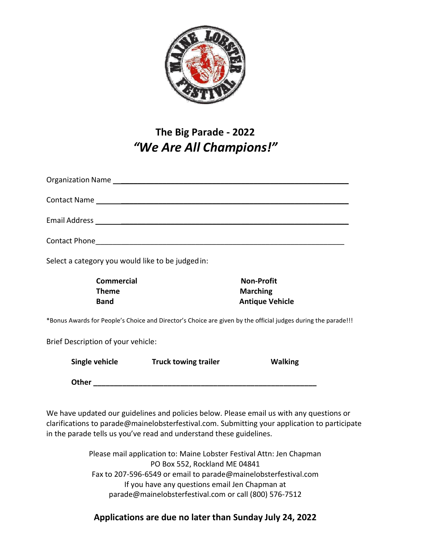

## **The Big Parade - 2022** *"We Are All Champions!"*

|                                                                        | Single vehicle Truck towing trailer | <b>Walking</b>                                                                                                |
|------------------------------------------------------------------------|-------------------------------------|---------------------------------------------------------------------------------------------------------------|
| Brief Description of your vehicle:                                     |                                     |                                                                                                               |
|                                                                        |                                     | *Bonus Awards for People's Choice and Director's Choice are given by the official judges during the parade!!! |
| <b>Band</b>                                                            |                                     | <b>Antique Vehicle</b>                                                                                        |
| <b>Theme</b>                                                           |                                     | <b>Marching</b>                                                                                               |
| Select a category you would like to be judged in:<br><b>Commercial</b> |                                     | <b>Non-Profit</b>                                                                                             |
|                                                                        |                                     |                                                                                                               |
|                                                                        |                                     |                                                                                                               |
|                                                                        |                                     |                                                                                                               |
|                                                                        |                                     |                                                                                                               |

We have updated our guidelines and policies below. Please email us with any questions or clarifications to parade@mainelobsterfestival.com. Submitting your application to participate in the parade tells us you've read and understand these guidelines.

**Other** 

Please mail application to: Maine Lobster Festival Attn: Jen Chapman PO Box 552, Rockland ME 04841 Fax to 207-596-6549 or email to [parade@mainelobsterfestival.com](mailto:parade@mainelobsterfestival.com) If you have any questions email Jen Chapman at [parade@mainelobsterfestival.com o](mailto:parade@mainelobsterfestival.com)r call (800) 576-7512

## **Applications are due no later than Sunday July 24, 2022**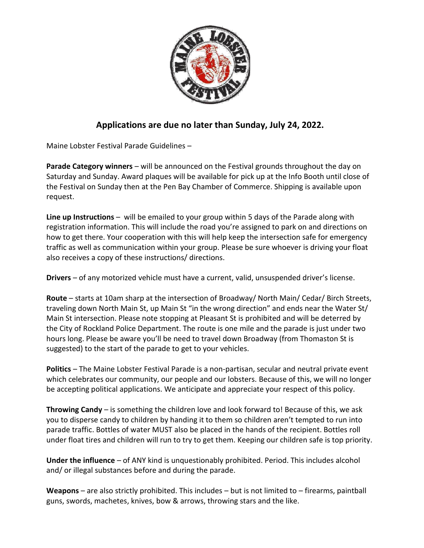

## **Applications are due no later than Sunday, July 24, 2022.**

Maine Lobster Festival Parade Guidelines –

**Parade Category winners** – will be announced on the Festival grounds throughout the day on Saturday and Sunday. Award plaques will be available for pick up at the Info Booth until close of the Festival on Sunday then at the Pen Bay Chamber of Commerce. Shipping is available upon request.

**Line up Instructions** – will be emailed to your group within 5 days of the Parade along with registration information. This will include the road you're assigned to park on and directions on how to get there. Your cooperation with this will help keep the intersection safe for emergency traffic as well as communication within your group. Please be sure whoever is driving your float also receives a copy of these instructions/ directions.

**Drivers** – of any motorized vehicle must have a current, valid, unsuspended driver's license.

**Route** – starts at 10am sharp at the intersection of Broadway/ North Main/ Cedar/ Birch Streets, traveling down North Main St, up Main St "in the wrong direction" and ends near the Water St/ Main St intersection. Please note stopping at Pleasant St is prohibited and will be deterred by the City of Rockland Police Department. The route is one mile and the parade is just under two hours long. Please be aware you'll be need to travel down Broadway (from Thomaston St is suggested) to the start of the parade to get to your vehicles.

**Politics** – The Maine Lobster Festival Parade is a non-partisan, secular and neutral private event which celebrates our community, our people and our lobsters. Because of this, we will no longer be accepting political applications. We anticipate and appreciate your respect of this policy.

**Throwing Candy** – is something the children love and look forward to! Because of this, we ask you to disperse candy to children by handing it to them so children aren't tempted to run into parade traffic. Bottles of water MUST also be placed in the hands of the recipient. Bottles roll under float tires and children will run to try to get them. Keeping our children safe is top priority.

**Under the influence** – of ANY kind is unquestionably prohibited. Period. This includes alcohol and/ or illegal substances before and during the parade.

**Weapons** – are also strictly prohibited. This includes – but is not limited to – firearms, paintball guns, swords, machetes, knives, bow & arrows, throwing stars and the like.